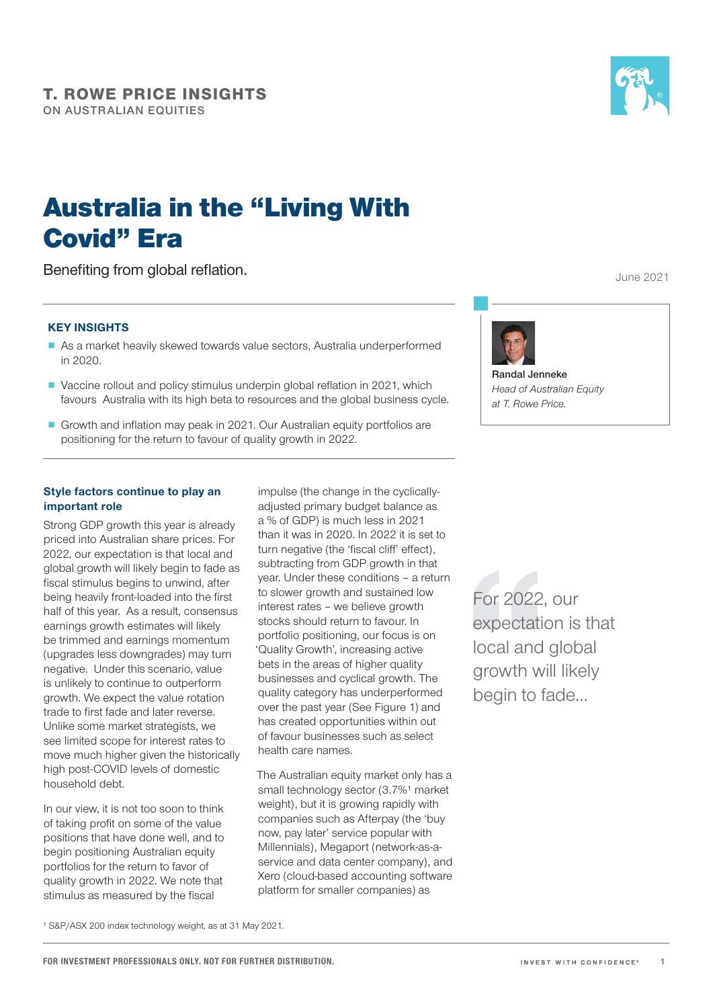

June 2021

# Australia in the "Living With Covid" Era

Benefiting from global reflation.

### KEY INSIGHTS

- As a market heavily skewed towards value sectors, Australia underperformed in 2020.
- Vaccine rollout and policy stimulus underpin global reflation in 2021, which favours Australia with its high beta to resources and the global business cycle.
- Growth and inflation may peak in 2021. Our Australian equity portfolios are positioning for the return to favour of quality growth in 2022.

## Style factors continue to play an important role

Strong GDP growth this year is already priced into Australian share prices. For 2022, our expectation is that local and global growth will likely begin to fade as fiscal stimulus begins to unwind, after being heavily front-loaded into the first half of this year. As a result, consensus earnings growth estimates will likely be trimmed and earnings momentum (upgrades less downgrades) may turn negative. Under this scenario, value is unlikely to continue to outperform growth. We expect the value rotation trade to first fade and later reverse. Unlike some market strategists, we see limited scope for interest rates to move much higher given the historically high post-COVID levels of domestic household debt.

In our view, it is not too soon to think of taking profit on some of the value positions that have done well, and to begin positioning Australian equity portfolios for the return to favor of quality growth in 2022. We note that stimulus as measured by the fiscal

impulse (the change in the cyclicallyadjusted primary budget balance as a % of GDP) is much less in 2021 than it was in 2020. In 2022 it is set to turn negative (the 'fiscal cliff' effect). subtracting from GDP growth in that year. Under these conditions – a return to slower growth and sustained low interest rates – we believe growth stocks should return to favour. In portfolio positioning, our focus is on 'Quality Growth', increasing active bets in the areas of higher quality businesses and cyclical growth. The quality category has underperformed over the past year (See Figure 1) and has created opportunities within out of favour businesses such as select health care names.

The Australian equity market only has a small technology sector (3.7%<sup>1</sup> market weight), but it is growing rapidly with companies such as Afterpay (the 'buy now, pay later' service popular with Millennials), Megaport (network-as-aservice and data center company), and Xero (cloud-based accounting software platform for smaller companies) as



Randal Jenneke *Head of Australian Equity at T. Rowe Price.*

For 2022, our expectation is that local and global growth will likely begin to fade…

1 S&P/ASX 200 index technology weight, as at 31 May 2021.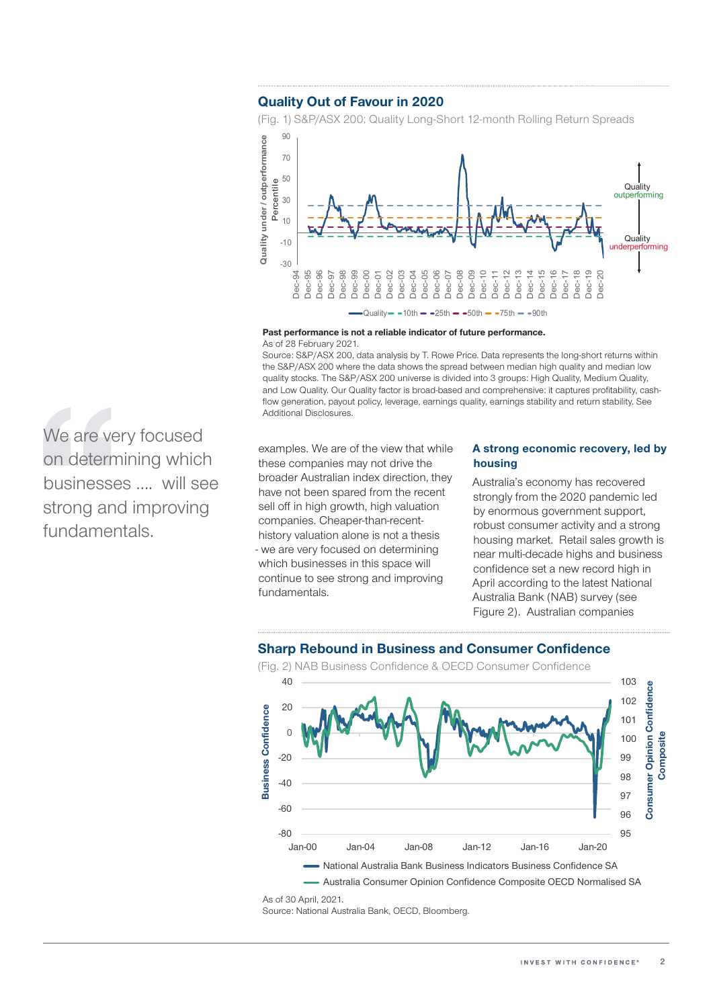## Quality Out of Favour in 2020

(Fig. 1) S&P/ASX 200: Quality Long-Short 12-month Rolling Return Spreads



Quality  $10th - 25th - 50th - 75th - 90th$ 

Past performance is not a reliable indicator of future performance. As of 28 February 2021.

Source: S&P/ASX 200, data analysis by T. Rowe Price. Data represents the long-short returns within the S&P/ASX 200 where the data shows the spread between median high quality and median low quality stocks. The S&P/ASX 200 universe is divided into 3 groups: High Quality, Medium Quality, and Low Quality. Our Quality factor is broad-based and comprehensive: it captures profitability, cashflow generation, payout policy, leverage, earnings quality, earnings stability and return stability. See Additional Disclosures.

examples. We are of the view that while these companies may not drive the broader Australian index direction, they have not been spared from the recent sell off in high growth, high valuation companies. Cheaper-than-recenthistory valuation alone is not a thesis - we are very focused on determining which businesses in this space will continue to see strong and improving fundamentals.

#### A strong economic recovery, led by housing

Australia's economy has recovered strongly from the 2020 pandemic led by enormous government support, robust consumer activity and a strong housing market. Retail sales growth is near multi-decade highs and business confidence set a new record high in April according to the latest National Australia Bank (NAB) survey (see Figure 2). Australian companies

## Sharp Rebound in Business and Consumer Confidence



Source: National Australia Bank, OECD, Bloomberg.

We are very focused on determining which businesses …. will see strong and improving fundamentals.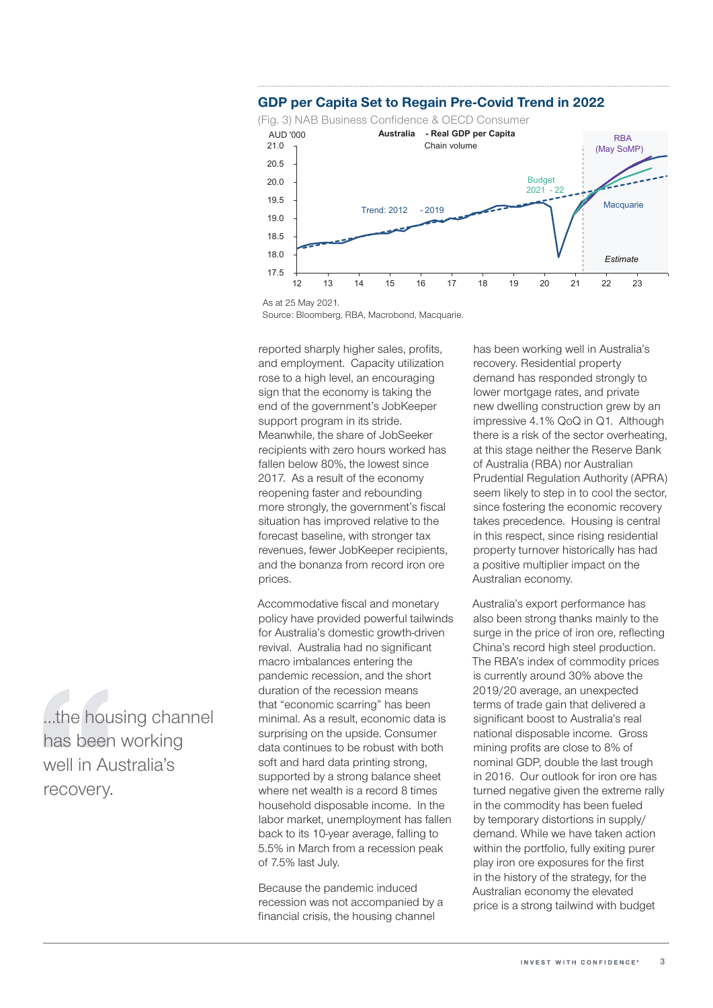



Source: Bloomberg, RBA, Macrobond, Macquarie.

reported sharply higher sales, profits, and employment. Capacity utilization rose to a high level, an encouraging sign that the economy is taking the end of the government's JobKeeper support program in its stride. Meanwhile, the share of JobSeeker recipients with zero hours worked has fallen below 80%, the lowest since 2017. As a result of the economy reopening faster and rebounding more strongly, the government's fiscal situation has improved relative to the forecast baseline, with stronger tax revenues, fewer JobKeeper recipients, and the bonanza from record iron ore prices.

Accommodative fiscal and monetary policy have provided powerful tailwinds for Australia's domestic growth-driven revival. Australia had no significant macro imbalances entering the pandemic recession, and the short duration of the recession means that "economic scarring" has been minimal. As a result, economic data is surprising on the upside. Consumer data continues to be robust with both soft and hard data printing strong, supported by a strong balance sheet where net wealth is a record 8 times household disposable income. In the labor market, unemployment has fallen back to its 10-year average, falling to 5.5% in March from a recession peak of 7.5% last July.

Because the pandemic induced recession was not accompanied by a financial crisis, the housing channel

has been working well in Australia's recovery. Residential property demand has responded strongly to lower mortgage rates, and private new dwelling construction grew by an impressive 4.1% QoQ in Q1. Although there is a risk of the sector overheating, at this stage neither the Reserve Bank of Australia (RBA) nor Australian Prudential Regulation Authority (APRA) seem likely to step in to cool the sector, since fostering the economic recovery takes precedence. Housing is central in this respect, since rising residential property turnover historically has had a positive multiplier impact on the Australian economy.

Australia's export performance has also been strong thanks mainly to the surge in the price of iron ore, reflecting China's record high steel production. The RBA's index of commodity prices is currently around 30% above the 2019/20 average, an unexpected terms of trade gain that delivered a significant boost to Australia's real national disposable income. Gross mining profits are close to 8% of nominal GDP, double the last trough in 2016. Our outlook for iron ore has turned negative given the extreme rally in the commodity has been fueled by temporary distortions in supply/ demand. While we have taken action within the portfolio, fully exiting purer play iron ore exposures for the first in the history of the strategy, for the Australian economy the elevated price is a strong tailwind with budget

…the housing channel has been working well in Australia's recovery.

As at 25 May 2021.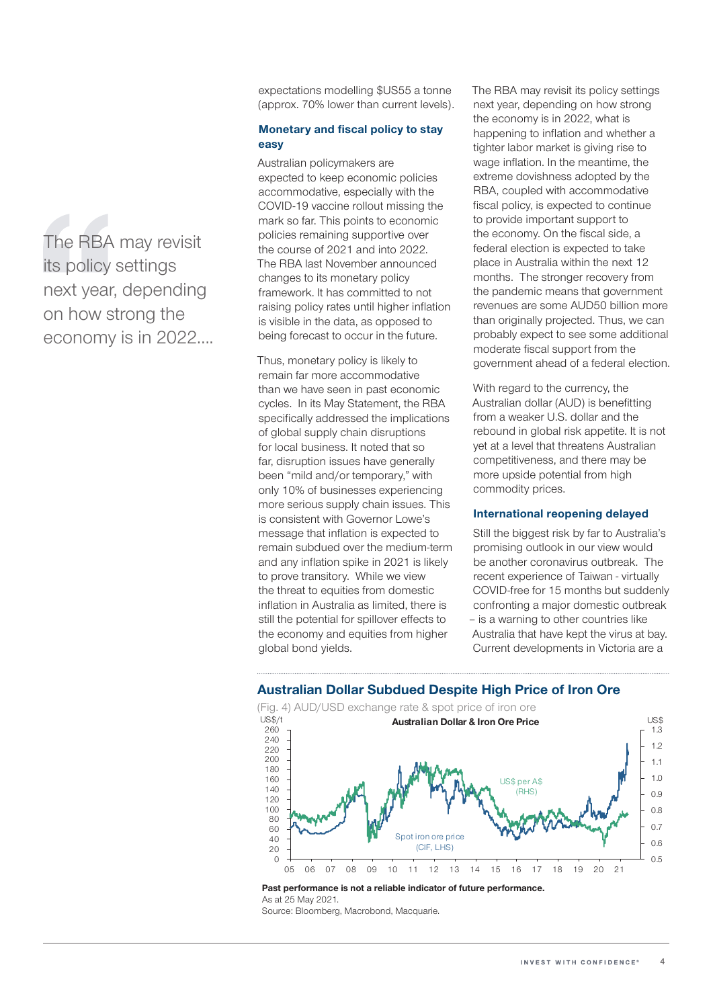The RBA may revisit its policy settings next year, depending on how strong the economy is in 2022….

expectations modelling \$US55 a tonne (approx. 70% lower than current levels).

#### Monetary and fiscal policy to stay easy

Australian policymakers are expected to keep economic policies accommodative, especially with the COVID-19 vaccine rollout missing the mark so far. This points to economic policies remaining supportive over the course of 2021 and into 2022. The RBA last November announced changes to its monetary policy framework. It has committed to not raising policy rates until higher inflation is visible in the data, as opposed to being forecast to occur in the future.

Thus, monetary policy is likely to remain far more accommodative than we have seen in past economic cycles. In its May Statement, the RBA specifically addressed the implications of global supply chain disruptions for local business. It noted that so far, disruption issues have generally been "mild and/or temporary," with only 10% of businesses experiencing more serious supply chain issues. This is consistent with Governor Lowe's message that inflation is expected to remain subdued over the medium-term and any inflation spike in 2021 is likely to prove transitory. While we view the threat to equities from domestic inflation in Australia as limited, there is still the potential for spillover effects to the economy and equities from higher global bond yields.

The RBA may revisit its policy settings next year, depending on how strong the economy is in 2022, what is happening to inflation and whether a tighter labor market is giving rise to wage inflation. In the meantime, the extreme dovishness adopted by the RBA, coupled with accommodative fiscal policy, is expected to continue to provide important support to the economy. On the fiscal side, a federal election is expected to take place in Australia within the next 12 months. The stronger recovery from the pandemic means that government revenues are some AUD50 billion more than originally projected. Thus, we can probably expect to see some additional moderate fiscal support from the government ahead of a federal election.

With regard to the currency, the Australian dollar (AUD) is benefitting from a weaker U.S. dollar and the rebound in global risk appetite. It is not yet at a level that threatens Australian competitiveness, and there may be more upside potential from high commodity prices.

#### International reopening delayed

Still the biggest risk by far to Australia's promising outlook in our view would be another coronavirus outbreak. The recent experience of Taiwan - virtually COVID-free for 15 months but suddenly confronting a major domestic outbreak – is a warning to other countries like Australia that have kept the virus at bay. Current developments in Victoria are a



## Australian Dollar Subdued Despite High Price of Iron Ore

As at 25 May 2021.

Past performance is not a reliable indicator of future performance.

Source: Bloomberg, Macrobond, Macquarie.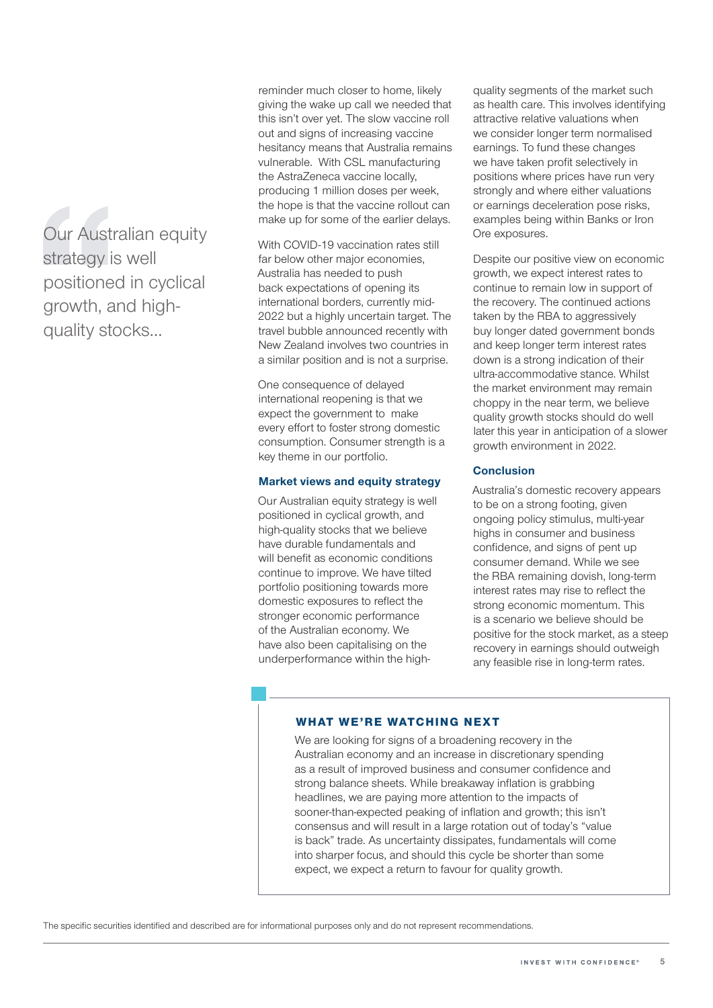Our Australian equity strategy is well positioned in cyclical growth, and highquality stocks…

reminder much closer to home, likely giving the wake up call we needed that this isn't over yet. The slow vaccine roll out and signs of increasing vaccine hesitancy means that Australia remains vulnerable. With CSL manufacturing the AstraZeneca vaccine locally, producing 1 million doses per week, the hope is that the vaccine rollout can make up for some of the earlier delays.

With COVID-19 vaccination rates still far below other major economies. Australia has needed to push back expectations of opening its international borders, currently mid-2022 but a highly uncertain target. The travel bubble announced recently with New Zealand involves two countries in a similar position and is not a surprise.

One consequence of delayed international reopening is that we expect the government to make every effort to foster strong domestic consumption. Consumer strength is a key theme in our portfolio.

#### Market views and equity strategy

Our Australian equity strategy is well positioned in cyclical growth, and high-quality stocks that we believe have durable fundamentals and will benefit as economic conditions continue to improve. We have tilted portfolio positioning towards more domestic exposures to reflect the stronger economic performance of the Australian economy. We have also been capitalising on the underperformance within the highquality segments of the market such as health care. This involves identifying attractive relative valuations when we consider longer term normalised earnings. To fund these changes we have taken profit selectively in positions where prices have run very strongly and where either valuations or earnings deceleration pose risks, examples being within Banks or Iron Ore exposures.

Despite our positive view on economic growth, we expect interest rates to continue to remain low in support of the recovery. The continued actions taken by the RBA to aggressively buy longer dated government bonds and keep longer term interest rates down is a strong indication of their ultra-accommodative stance. Whilst the market environment may remain choppy in the near term, we believe quality growth stocks should do well later this year in anticipation of a slower growth environment in 2022.

#### **Conclusion**

Australia's domestic recovery appears to be on a strong footing, given ongoing policy stimulus, multi-year highs in consumer and business confidence, and signs of pent up consumer demand. While we see the RBA remaining dovish, long-term interest rates may rise to reflect the strong economic momentum. This is a scenario we believe should be positive for the stock market, as a steep recovery in earnings should outweigh any feasible rise in long-term rates.

#### **WHAT WE'RE WATCHING NEXT**

We are looking for signs of a broadening recovery in the Australian economy and an increase in discretionary spending as a result of improved business and consumer confidence and strong balance sheets. While breakaway inflation is grabbing headlines, we are paying more attention to the impacts of sooner-than-expected peaking of inflation and growth; this isn't consensus and will result in a large rotation out of today's "value is back" trade. As uncertainty dissipates, fundamentals will come into sharper focus, and should this cycle be shorter than some expect, we expect a return to favour for quality growth.

The specific securities identified and described are for informational purposes only and do not represent recommendations.